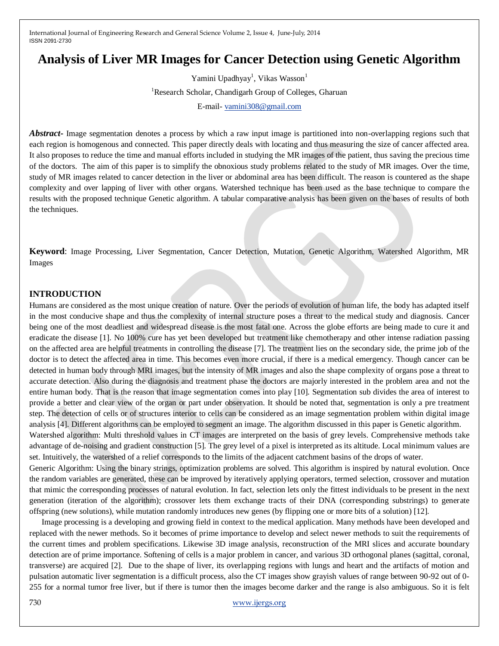# **Analysis of Liver MR Images for Cancer Detection using Genetic Algorithm**

Yamini Upadhyay<sup>1</sup>, Vikas Wasson<sup>1</sup> <sup>1</sup>Research Scholar, Chandigarh Group of Colleges, Gharuan E-mail- [vamini308@gmail.com](mailto:vamini308@gmail.com)

*Abstract-* Image segmentation denotes a process by which a raw input image is partitioned into non-overlapping regions such that each region is homogenous and connected. This paper directly deals with locating and thus measuring the size of cancer affected area. It also proposes to reduce the time and manual efforts included in studying the MR images of the patient, thus saving the precious time of the doctors. The aim of this paper is to simplify the obnoxious study problems related to the study of MR images. Over the time, study of MR images related to cancer detection in the liver or abdominal area has been difficult. The reason is countered as the shape complexity and over lapping of liver with other organs. Watershed technique has been used as the base technique to compare the results with the proposed technique Genetic algorithm. A tabular comparative analysis has been given on the bases of results of both the techniques.

**Keyword**: Image Processing, Liver Segmentation, Cancer Detection, Mutation, Genetic Algorithm, Watershed Algorithm, MR Images

#### **INTRODUCTION**

Humans are considered as the most unique creation of nature. Over the periods of evolution of human life, the body has adapted itself in the most conducive shape and thus the complexity of internal structure poses a threat to the medical study and diagnosis. Cancer being one of the most deadliest and widespread disease is the most fatal one. Across the globe efforts are being made to cure it and eradicate the disease [1]. No 100% cure has yet been developed but treatment like chemotherapy and other intense radiation passing on the affected area are helpful treatments in controlling the disease [7]. The treatment lies on the secondary side, the prime job of the doctor is to detect the affected area in time. This becomes even more crucial, if there is a medical emergency. Though cancer can be detected in human body through MRI images, but the intensity of MR images and also the shape complexity of organs pose a threat to accurate detection. Also during the diagnosis and treatment phase the doctors are majorly interested in the problem area and not the entire human body. That is the reason that image segmentation comes into play [10]. Segmentation sub divides the area of interest to provide a better and clear view of the organ or part under observation. It should be noted that, segmentation is only a pre treatment step. The detection of cells or of structures interior to cells can be considered as an image segmentation problem within digital image analysis [4]. Different algorithms can be employed to segment an image. The algorithm discussed in this paper is Genetic algorithm.

Watershed algorithm: Multi threshold values in CT images are interpreted on the basis of grey levels. Comprehensive methods take advantage of de-noising and gradient construction [5]. The grey level of a pixel is interpreted as its altitude. Local minimum values are set. Intuitively, the watershed of a relief corresponds to the limits of the adjacent catchment basins of the drops of water.

Generic Algorithm: Using the binary strings, optimization problems are solved. This algorithm is inspired by natural evolution. Once the random variables are generated, these can be improved by iteratively applying operators, termed selection, crossover and mutation that mimic the corresponding processes of natural evolution. In fact, selection lets only the fittest individuals to be present in the next generation (iteration of the algorithm); crossover lets them exchange tracts of their DNA (corresponding substrings) to generate offspring (new solutions), while mutation randomly introduces new genes (by flipping one or more bits of a solution) [12].

Image processing is a developing and growing field in context to the medical application. Many methods have been developed and replaced with the newer methods. So it becomes of prime importance to develop and select newer methods to suit the requirements of the current times and problem specifications. Likewise 3D image analysis, reconstruction of the MRI slices and accurate boundary detection are of prime importance. Softening of cells is a major problem in cancer, and various 3D orthogonal planes (sagittal, coronal, transverse) are acquired [2]. Due to the shape of liver, its overlapping regions with lungs and heart and the artifacts of motion and pulsation automatic liver segmentation is a difficult process, also the CT images show grayish values of range between 90-92 out of 0- 255 for a normal tumor free liver, but if there is tumor then the images become darker and the range is also ambiguous. So it is felt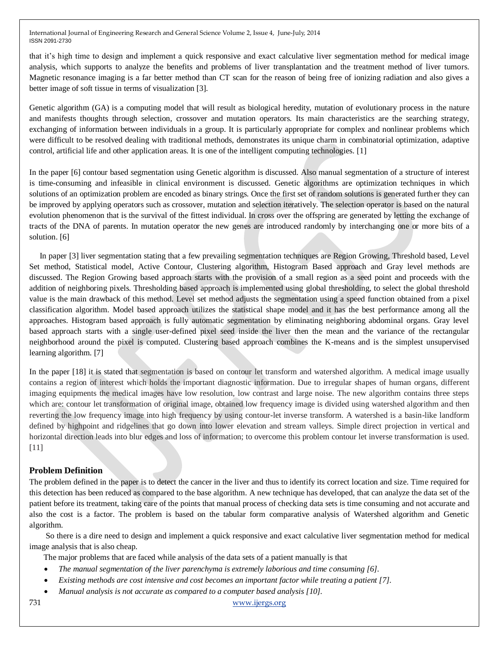that it's high time to design and implement a quick responsive and exact calculative liver segmentation method for medical image analysis, which supports to analyze the benefits and problems of liver transplantation and the treatment method of liver tumors. Magnetic resonance imaging is a far better method than CT scan for the reason of being free of ionizing radiation and also gives a better image of soft tissue in terms of visualization [3].

Genetic algorithm (GA) is a computing model that will result as biological heredity, mutation of evolutionary process in the nature and manifests thoughts through selection, crossover and mutation operators. Its main characteristics are the searching strategy, exchanging of information between individuals in a group. It is particularly appropriate for complex and nonlinear problems which were difficult to be resolved dealing with traditional methods, demonstrates its unique charm in combinatorial optimization, adaptive control, artificial life and other application areas. It is one of the intelligent computing technologies. [1]

In the paper [6] contour based segmentation using Genetic algorithm is discussed. Also manual segmentation of a structure of interest is time-consuming and infeasible in clinical environment is discussed. Genetic algorithms are optimization techniques in which solutions of an optimization problem are encoded as binary strings. Once the first set of random solutions is generated further they can be improved by applying operators such as crossover, mutation and selection iteratively. The selection operator is based on the natural evolution phenomenon that is the survival of the fittest individual. In cross over the offspring are generated by letting the exchange of tracts of the DNA of parents. In mutation operator the new genes are introduced randomly by interchanging one or more bits of a solution. [6]

 In paper [3] liver segmentation stating that a few prevailing segmentation techniques are Region Growing, Threshold based, Level Set method, Statistical model, Active Contour, Clustering algorithm, Histogram Based approach and Gray level methods are discussed. The Region Growing based approach starts with the provision of a small region as a seed point and proceeds with the addition of neighboring pixels. Thresholding based approach is implemented using global thresholding, to select the global threshold value is the main drawback of this method. Level set method adjusts the segmentation using a speed function obtained from a pixel classification algorithm. Model based approach utilizes the statistical shape model and it has the best performance among all the approaches. Histogram based approach is fully automatic segmentation by eliminating neighboring abdominal organs. Gray level based approach starts with a single user-defined pixel seed inside the liver then the mean and the variance of the rectangular neighborhood around the pixel is computed. Clustering based approach combines the K-means and is the simplest unsupervised learning algorithm. [7]

In the paper [18] it is stated that segmentation is based on contour let transform and watershed algorithm. A medical image usually contains a region of interest which holds the important diagnostic information. Due to irregular shapes of human organs, different imaging equipments the medical images have low resolution, low contrast and large noise. The new algorithm contains three steps which are: contour let transformation of original image, obtained low frequency image is divided using watershed algorithm and then reverting the low frequency image into high frequency by using contour-let inverse transform. A watershed is a basin-like landform defined by highpoint and ridgelines that go down into lower elevation and stream valleys. Simple direct projection in vertical and horizontal direction leads into blur edges and loss of information; to overcome this problem contour let inverse transformation is used. [11]

#### **Problem Definition**

The problem defined in the paper is to detect the cancer in the liver and thus to identify its correct location and size. Time required for this detection has been reduced as compared to the base algorithm. A new technique has developed, that can analyze the data set of the patient before its treatment, taking care of the points that manual process of checking data sets is time consuming and not accurate and also the cost is a factor. The problem is based on the tabular form comparative analysis of Watershed algorithm and Genetic algorithm.

 So there is a dire need to design and implement a quick responsive and exact calculative liver segmentation method for medical image analysis that is also cheap.

The major problems that are faced while analysis of the data sets of a patient manually is that

- *The manual segmentation of the liver parenchyma is extremely laborious and time consuming [6].*
- *Existing methods are cost intensive and cost becomes an important factor while treating a patient [7].*
- *Manual analysis is not accurate as compared to a computer based analysis [10].*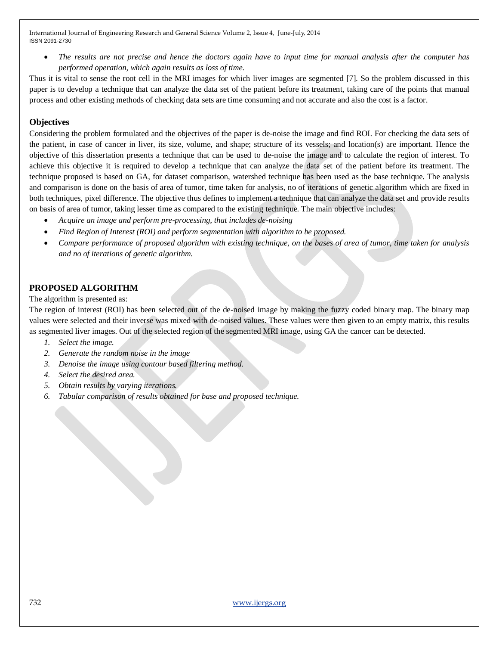*The results are not precise and hence the doctors again have to input time for manual analysis after the computer has performed operation, which again results as loss of time.*

Thus it is vital to sense the root cell in the MRI images for which liver images are segmented [7]. So the problem discussed in this paper is to develop a technique that can analyze the data set of the patient before its treatment, taking care of the points that manual process and other existing methods of checking data sets are time consuming and not accurate and also the cost is a factor.

## **Objectives**

Considering the problem formulated and the objectives of the paper is de-noise the image and find ROI. For checking the data sets of the patient, in case of cancer in liver, its size, volume, and shape; structure of its vessels; and location(s) are important. Hence the objective of this dissertation presents a technique that can be used to de-noise the image and to calculate the region of interest. To achieve this objective it is required to develop a technique that can analyze the data set of the patient before its treatment. The technique proposed is based on GA, for dataset comparison, watershed technique has been used as the base technique. The analysis and comparison is done on the basis of area of tumor, time taken for analysis, no of iterations of genetic algorithm which are fixed in both techniques, pixel difference. The objective thus defines to implement a technique that can analyze the data set and provide results on basis of area of tumor, taking lesser time as compared to the existing technique. The main objective includes:

- *Acquire an image and perform pre-processing, that includes de-noising*
- *Find Region of Interest (ROI) and perform segmentation with algorithm to be proposed.*
- *Compare performance of proposed algorithm with existing technique, on the bases of area of tumor, time taken for analysis and no of iterations of genetic algorithm.*

### **PROPOSED ALGORITHM**

The algorithm is presented as:

The region of interest (ROI) has been selected out of the de-noised image by making the fuzzy coded binary map. The binary map values were selected and their inverse was mixed with de-noised values. These values were then given to an empty matrix, this results as segmented liver images. Out of the selected region of the segmented MRI image, using GA the cancer can be detected.

- *1. Select the image.*
- *2. Generate the random noise in the image*
- *3. Denoise the image using contour based filtering method.*
- *4. Select the desired area.*
- *5. Obtain results by varying iterations.*
- *6. Tabular comparison of results obtained for base and proposed technique.*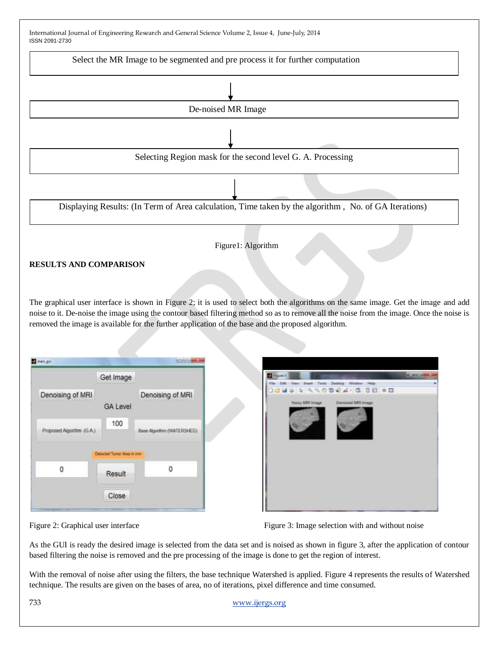

The graphical user interface is shown in Figure 2; it is used to select both the algorithms on the same image. Get the image and add noise to it. De-noise the image using the contour based filtering method so as to remove all the noise from the image. Once the noise is removed the image is available for the further application of the base and the proposed algorithm.

|                           | Get Image                   |                                                            |
|---------------------------|-----------------------------|------------------------------------------------------------|
| Denoising of MRI          |                             | Denoising of MRI                                           |
|                           | <b>GA Level</b>             |                                                            |
| Proposed Algorithm (G.A.) | 100                         | AN ASSAULT TO THE CONTRACTOR<br>Base Algorithm (WATERSHED) |
|                           | Detected Turror Area in mm. |                                                            |
| 0                         | Result                      | Ω                                                          |
|                           | Close                       |                                                            |



Figure 2: Graphical user interface Figure 3: Image selection with and without noise

As the GUI is ready the desired image is selected from the data set and is noised as shown in figure 3, after the application of contour based filtering the noise is removed and the pre processing of the image is done to get the region of interest.

With the removal of noise after using the filters, the base technique Watershed is applied. Figure 4 represents the results of Watershed technique. The results are given on the bases of area, no of iterations, pixel difference and time consumed.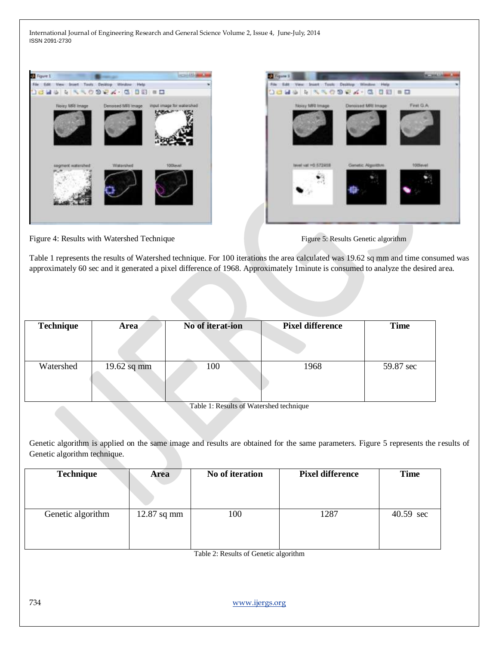



Figure 4: Results with Watershed Technique Figure 5: Results Genetic algorithm



Table 1 represents the results of Watershed technique. For 100 iterations the area calculated was 19.62 sq mm and time consumed was approximately 60 sec and it generated a pixel difference of 1968. Approximately 1minute is consumed to analyze the desired area.

| <b>Technique</b> | <b>Area</b> | No of iterat-ion | <b>Pixel difference</b> | <b>Time</b> |
|------------------|-------------|------------------|-------------------------|-------------|
| Watershed        | 19.62 sq mm | 100              | 1968                    | 59.87 sec   |

Table 1: Results of Watershed technique

Genetic algorithm is applied on the same image and results are obtained for the same parameters. Figure 5 represents the results of Genetic algorithm technique.

| <b>Technique</b>  | Area          | No of iteration | <b>Pixel difference</b> | <b>Time</b> |
|-------------------|---------------|-----------------|-------------------------|-------------|
| Genetic algorithm | $12.87$ sq mm | 100             | 1287                    | 40.59 sec   |

Table 2: Results of Genetic algorithm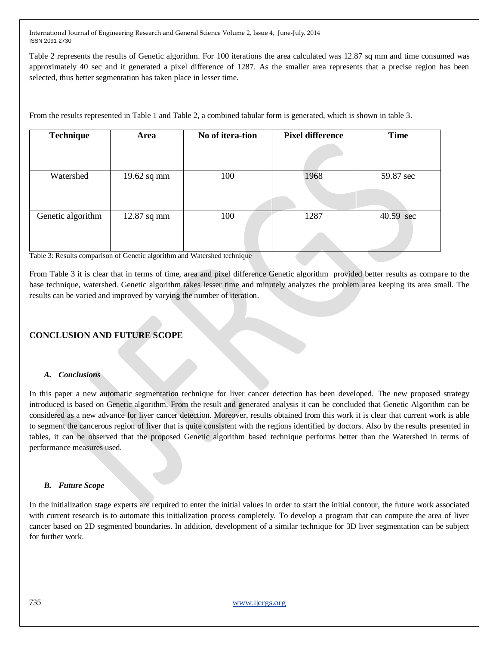Table 2 represents the results of Genetic algorithm. For 100 iterations the area calculated was 12.87 sq mm and time consumed was approximately 40 sec and it generated a pixel difference of 1287. As the smaller area represents that a precise region has been selected, thus better segmentation has taken place in lesser time.

From the results represented in Table 1 and Table 2, a combined tabular form is generated, which is shown in table 3.

| <b>Technique</b>  | Area          | No of itera-tion | <b>Pixel difference</b> | <b>Time</b> |
|-------------------|---------------|------------------|-------------------------|-------------|
|                   |               |                  |                         |             |
| Watershed         | $19.62$ sq mm | 100              | 1968                    | 59.87 sec   |
|                   |               |                  |                         |             |
| Genetic algorithm | $12.87$ sq mm | 100              | 1287                    | 40.59 sec   |
|                   |               |                  |                         |             |

Table 3: Results comparison of Genetic algorithm and Watershed technique

From Table 3 it is clear that in terms of time, area and pixel difference Genetic algorithm provided better results as compare to the base technique, watershed. Genetic algorithm takes lesser time and minutely analyzes the problem area keeping its area small. The results can be varied and improved by varying the number of iteration.

## **CONCLUSION AND FUTURE SCOPE**

#### *A. Conclusions*

In this paper a new automatic segmentation technique for liver cancer detection has been developed. The new proposed strategy introduced is based on Genetic algorithm. From the result and generated analysis it can be concluded that Genetic Algorithm can be considered as a new advance for liver cancer detection. Moreover, results obtained from this work it is clear that current work is able to segment the cancerous region of liver that is quite consistent with the regions identified by doctors. Also by the results presented in tables, it can be observed that the proposed Genetic algorithm based technique performs better than the Watershed in terms of performance measures used.

#### *B. Future Scope*

In the initialization stage experts are required to enter the initial values in order to start the initial contour, the future work associated with current research is to automate this initialization process completely. To develop a program that can compute the area of liver cancer based on 2D segmented boundaries. In addition, development of a similar technique for 3D liver segmentation can be subject for further work.